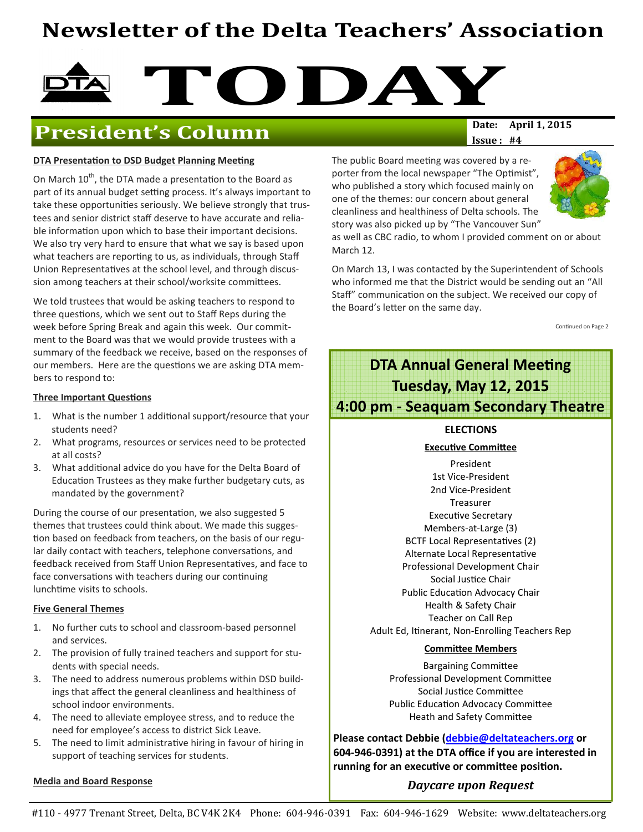# Newsletter of the Delta Teachers' Association

# TODAY<br>Date: April 1, 2015

# **President's Column**

#### DTA Presentation to DSD Budget Planning Meeting

On March 10<sup>th</sup>, the DTA made a presentation to the Board as part of its annual budget setting process. It's always important to take these opportunities seriously. We believe strongly that trustees and senior district staff deserve to have accurate and reliable information upon which to base their important decisions. We also try very hard to ensure that what we say is based upon what teachers are reporting to us, as individuals, through Staff Union Representatives at the school level, and through discussion among teachers at their school/worksite committees.

We told trustees that would be asking teachers to respond to three questions, which we sent out to Staff Reps during the week before Spring Break and again this week. Our commitment to the Board was that we would provide trustees with a summary of the feedback we receive, based on the responses of our members. Here are the questions we are asking DTA members to respond to:

#### Three Important Questions

- 1. What is the number 1 additional support/resource that your students need?
- 2. What programs, resources or services need to be protected at all costs?
- 3. What additional advice do you have for the Delta Board of Education Trustees as they make further budgetary cuts, as mandated by the government?

During the course of our presentation, we also suggested 5 themes that trustees could think about. We made this sugges tion based on feedback from teachers, on the basis of our regular daily contact with teachers, telephone conversations, and feedback received from Staff Union Representatives, and face to face conversations with teachers during our continuing lunchtime visits to schools.

#### Five General Themes

- 1. No further cuts to school and classroom-based personnel and services.
- 2. The provision of fully trained teachers and support for students with special needs.
- 3. The need to address numerous problems within DSD buildings that affect the general cleanliness and healthiness of school indoor environments.
- 4. The need to alleviate employee stress, and to reduce the need for employee's access to district Sick Leave.
- 5. The need to limit administrative hiring in favour of hiring in support of teaching services for students.

#### Media and Board Response

 $Issue: #4$ 

The public Board meeting was covered by a reporter from the local newspaper "The Optimist", who published a story which focused mainly on one of the themes: our concern about general cleanliness and healthiness of Delta schools. The story was also picked up by "The Vancouver Sun"



as well as CBC radio, to whom I provided comment on or about March 12.

On March 13, I was contacted by the Superintendent of Schools who informed me that the District would be sending out an "All Staff" communication on the subject. We received our copy of the Board's letter on the same day.

Continued on Page 2

## **DTA Annual General Meeting** Tuesday, May 12, 2015 4:00 pm - Seaquam Secondary Theatre

#### ELECTIONS

#### **Executive Committee**

President 1st Vice-President 2nd Vice-President Treasurer Executive Secretary Members-at-Large (3) BCTF Local Representatives (2) Alternate Local Representative Professional Development Chair Social Justice Chair Public Education Advocacy Chair Health & Safety Chair Teacher on Call Rep Adult Ed, Itinerant, Non-Enrolling Teachers Rep

#### **Committee Members**

**Bargaining Committee** Professional Development Committee Social Justice Committee Public Education Advocacy Committee Heath and Safety Committee

Please contact Debbie (debbie@deltateachers.org or 604-946-0391) at the DTA office if you are interested in running for an executive or committee position.

#### Daycare upon Request